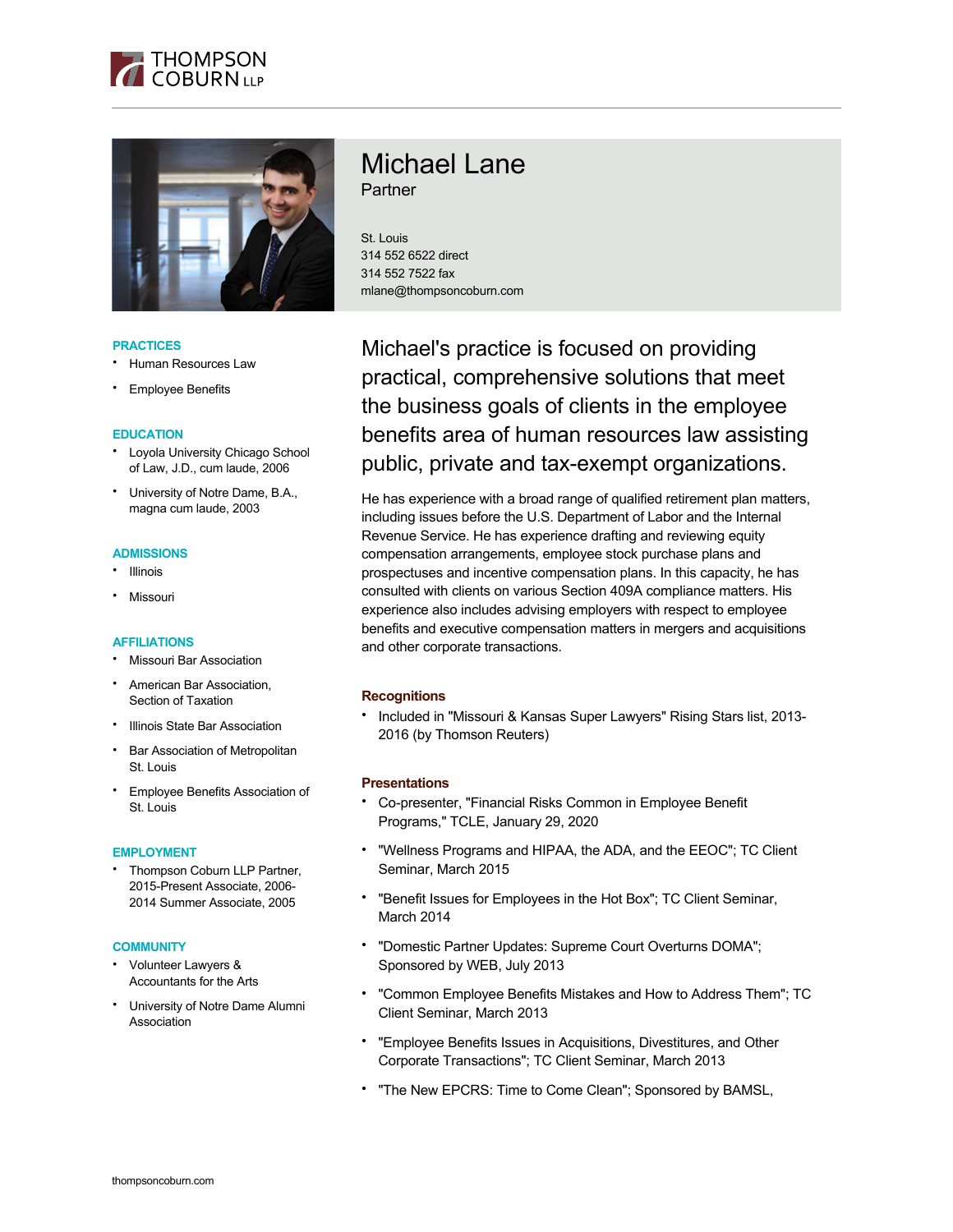



## **PRACTICES**

- Human Resources Law
- **Employee Benefits**

## **EDUCATION**

- Loyola University Chicago School of Law, J.D., cum laude, 2006
- University of Notre Dame, B.A., magna cum laude, 2003

#### **ADMISSIONS**

- Illinois
- Missouri

# **AFFILIATIONS**

- Missouri Bar Association
- American Bar Association, Section of Taxation
- **Illinois State Bar Association**
- **Bar Association of Metropolitan** St. Louis
- Employee Benefits Association of St. Louis

## **EMPLOYMENT**

• Thompson Coburn LLP Partner, 2015-Present Associate, 2006- 2014 Summer Associate, 2005

#### **COMMUNITY**

- Volunteer Lawyers & Accountants for the Arts
- University of Notre Dame Alumni Association

# Michael Lane **Partner**

St. Louis 314 552 6522 direct 314 552 7522 fax mlane@thompsoncoburn.com

Michael's practice is focused on providing practical, comprehensive solutions that meet the business goals of clients in the employee benefits area of human resources law assisting public, private and tax-exempt organizations.

He has experience with a broad range of qualified retirement plan matters, including issues before the U.S. Department of Labor and the Internal Revenue Service. He has experience drafting and reviewing equity compensation arrangements, employee stock purchase plans and prospectuses and incentive compensation plans. In this capacity, he has consulted with clients on various Section 409A compliance matters. His experience also includes advising employers with respect to employee benefits and executive compensation matters in mergers and acquisitions and other corporate transactions.

# **Recognitions**

• Included in "Missouri & Kansas Super Lawyers" Rising Stars list, 2013- 2016 (by Thomson Reuters)

#### **Presentations**

- Co-presenter, "Financial Risks Common in Employee Benefit Programs," TCLE, January 29, 2020
- "Wellness Programs and HIPAA, the ADA, and the EEOC"; TC Client Seminar, March 2015
- "Benefit Issues for Employees in the Hot Box"; TC Client Seminar, March 2014
- "Domestic Partner Updates: Supreme Court Overturns DOMA"; Sponsored by WEB, July 2013
- "Common Employee Benefits Mistakes and How to Address Them"; TC Client Seminar, March 2013
- "Employee Benefits Issues in Acquisitions, Divestitures, and Other Corporate Transactions"; TC Client Seminar, March 2013
- "The New EPCRS: Time to Come Clean"; Sponsored by BAMSL,